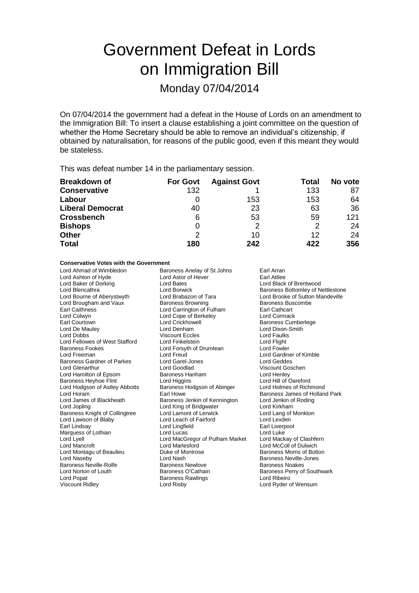# Government Defeat in Lords on Immigration Bill

## Monday 07/04/2014

On 07/04/2014 the government had a defeat in the House of Lords on an amendment to the Immigration Bill: To insert a clause establishing a joint committee on the question of whether the Home Secretary should be able to remove an individual's citizenship, if obtained by naturalisation, for reasons of the public good, even if this meant they would be stateless.

This was defeat number 14 in the parliamentary session.

| <b>Breakdown of</b>     | <b>For Govt</b> | <b>Against Govt</b> | Total | No vote |
|-------------------------|-----------------|---------------------|-------|---------|
| <b>Conservative</b>     | 132             |                     | 133   | 87      |
| Labour                  |                 | 153                 | 153   | 64      |
| <b>Liberal Democrat</b> | 40              | 23                  | 63    | 36      |
| <b>Crossbench</b>       | 6               | 53                  | 59    | 121     |
| <b>Bishops</b>          | 0               | 2                   | 2     | 24      |
| <b>Other</b>            | 2               | 10                  | 12    | 24      |
| <b>Total</b>            | 180             | 242                 | 422   | 356     |

### **Conservative Votes with the Government**

Lord Ashton of Hyde Lord Astor<br>
Lord Baker of Dorking Lord Bates Lord Brougham and Vaux Lord Colwyn Lord Cope of Berkeley<br>
Earl Courtown Lord Crickhowell Lord Fellowes of West Stafford Baroness Gardner of Parkes Lord Garel-Jones Lord Garel-Jones Lord Goodlad Lord Hodgson of Astley Abbotts Lord Lawson of Blaby Lord Montagu of Beaulieu **Duke of Montagu of Boltoness Morris Corris Corris Corris Corris Corris Morris Corris**<br>
Lord Naseby Baroness Neville-Rolfe Lord Popat **Baroness Rawlings**<br>
Viscount Ridley **Baroness Rawlings** 

Lord Ahmad of Wimbledon Baroness Anelay of St Johns Earl Arran<br>
Lord Ashton of Hyde Lord Astor of Hever Earl Attlee Lord Baker of Dorking Lord Bates Lord Black of Brentwood Lord Brabazon of Tara Lord Brooke of Sutton Mandeville<br>
Baroness Browning Corporation Baroness Buscombe Earl Caithness **Lord Carrington of Fulham** Earl Cathcart<br>
Lord Colwyn Lord Cope of Berkeley **Earl Cathcart** Earl Courtown **Lord Crickhowell** Communication Crickhowell **Baroness Cumberlege**<br>
Lord De Maulev **Lord Crickhowell** Communication Crickhowell<br>
Lord Denham<br>
Lord Dixon-Smith Lord De Mauley Lord Denham Lord Dixon-Smith Viscount Eccles<br>
Lord Finkelstein<br>
Lord Flight Baroness Fookes Lord Forsyth of Drumlean Lord Fowler Lord Freeman Lord Freud Lord Gardiner of Kimble Lord Hamilton of Epsom Baroness Hanham Lord Henley<br>
Baroness Heyhoe Flint Lord Higgins Lord Hill of Oareford Baroness Heyhoe Flint **Lord Higgins** Lord Hill of Oareford<br>
Lord Holdgson of Astley Abbotts Baroness Hodgson of Abinger Lord Holmes of Richmond Lord Horam **Earl Howe** Earl Howe **Baroness James of Holland Park**<br>
Lord James of Blackheath **Baroness Jenkin of Kennington** Lord Jenkin of Roding Lord James of Blackheath Baroness Jenkin of Kennington Lord Jenkin of Kennington Lord Jenkin of Roman Lord Airkham Lord King of Bridgwater **Lord Kirkham**<br>
Lord Lamont of Lerwick **Lord Lord Lang of Monkton** Baroness Knight of Collingtree Lord Lamont of Lerwick Lord Lang of Lord Lang of Lord Lexden<br>
Lord Lawson of Blaby Lord Leach of Fairford Lord Lexden Earl Lindsay **Carl Lingfield** Earl Liverpool<br>
Marquess of Lothian **Earl Liverpool**<br>
Lord Lucas
Lord Lucas
Lord Lucas
Lord Lucas
Lord Lucas
Lord Lucas
Lord Lucas
Lord Lucas
Lord Lucas
Lord Lucas
Lord Lucas
Lord Lucas
Lord L Marquess of Lothian The Lord Lucas Lord Lucas Lord Luke<br>Lord Lyell Lord MacGregor of Pulham Market Lord Mackay of Clashfern Lord Lyell Lord MacGregor of Pulham Market<br>
Lord Mancroft Lord Marlesford Lord Marlesford Lord McColl of Dulwich<br>
Duke of Montrose College Baroness Morris of Bolton Lord Nash **Baroness Neville-Jones**<br>Baroness Newlove **Baroness Newlow**<br>Baroness Newlowe Lord Norton of Louth **Baroness O'Cathain** Baroness Perry of Southwark<br>
Lord Popat **Baroness Rawlings** Baroness Rawlings Lord Ribeiro

Lord Blencathra **Lord Borwick** Baroness Bottomley of Nettlestone<br>
Lord Bourne of Aberystwyth Lord Brabazon of Tara Lord Brooke of Sutton Mandeville Viscount Goschen<br>Lord Henlev Lord Ryder of Wensum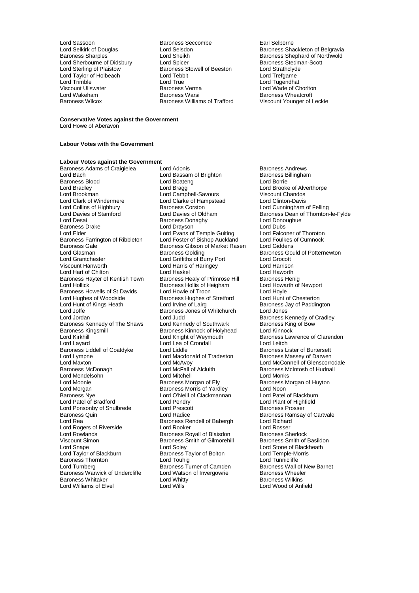Lord Taylor of Holbeach Lord Tebb<br>Lord Trimble Lord True

Lord Sassoon **Baroness Seccombe** Earl Selborne<br>
Lord Selshirk of Douglas **Early Earl Selshire Early Selshire Control** Development Baroness Sha Lord Sherbourne of Didsbury Lord Spicer Correspondent Correspondent Correspondent Correspondent Correspondent<br>Lord Sterling of Plaistow Baroness Stowell of Beeston Lord Strathclyde **Example Sterling Conditions Stowell of Beeston Correspondent Correspondent Correspondent Correspondent Correspondent Correspondent Correspondent Correspondent Correspondent Correspondent Correspondent Correspondent Corres** Lord Trimble Lord True Lord Tugendhat Viscount Ullswater Baroness Verma Lord Wade of Chorlton Lord Wakeham Baroness Warsi Baroness Wheatcroft Baroness Williams of Trafford

Lord Selkirk of Douglas Correst Lord Selsdon<br>1991 - Lord Shangles Correst Correst Correst Sharoness Shephard of Northwold Lord Sheikh Baroness Shephard of Northwold<br>
Lord Spicer<br>
Baroness Stedman-Scott

#### **Conservative Votes against the Government**

Lord Howe of Aberavon

### **Labour Votes with the Government**

### **Labour Votes against the Government**

Baroness Blood and Lord Boater<br>
Lord Bradley **Lord Bragg** Lord Bradley Lord Bragg Lord Brooke of Alverthorpe Lord Clark of Windermere Lord Clarke of Han<br>
Lord Collins of Highbury Baroness Corston Lord Collins of Highbury **Baroness Corston Collection Corporation** Lord Cunningham of Felling<br>Lord Davies of Stamford Lord Davies of Oldham **Baroness Dean of Thornton** Lord Desai Baroness Donaghy Lord Donoughue Donough Baroness Donaghy Lord Donough Lord Dubs<br>Baroness Drake Lord Drayson Lord Dubs Baroness Drake **Lord Drayson**<br>
Lord Evans of Temple Guiting Lord Falconer of Thoroton<br>
Lord Elder Lord Drayson Corporation Lord Palconer of Thoroton Baroness Farrington of Ribbleton Lord Foster of Bishop Auckland Lord Foulkes<br>Baroness Gale Baroness Gibson of Market Rasen Lord Giddens Baroness Gale and Baroness Gibson of Market Rasen<br>
Raroness Golding<br>
Lord Glasman Lord Glasman **Baroness Golding** Baroness Gould of Potternewton<br>
Lord Grantchester **Baroness Colding** Baroness Gould of Potternewton Lord Grantchester Lord Griffiths of Burry Port Lord Grocott Lord Hart of Chilton **Lord Hand Lord Haskel** Lord Haworth Lord Haworth Cord Haworth<br>Baroness Hayter of Kentish Town Baroness Healy of Primrose Hill Baroness Henig Baroness Hayter of Kentish Town Baroness Healy of Primrose Hill Baroness Henig<br>Lord Hollick Baroness Hollis of Heigham Lord Howarth of Newport Baroness Howells of St Davids<br>
Lord Hughes of Woodside Baroness Hughes of Stretford Lord Hunt of Chesterton Lord Hughes of Woodside **Baroness Hughes of Stretford** Lord Hunt of Chesterton<br>Lord Hunt of Kings Heath Lord Irvine of Lairg **Baroness Jay of Paddington** Lord Hunt of Kings Heath **Lord Irvine of Lairg Changes** Baroness Jay of Paddington Lord Joffe **Baroness Jones of Whitchurch** Lord Jones Lord Jordan **Lord Judd** Lord Judd Baroness Kennedy of Cradley<br>
Baroness Kennedy of The Shaws Lord Kennedy of Southwark Baroness King of Bow Baroness Kennedy of The Shaws Lord Kennedy of Southwark Baroness King Baroness King Baroness King Baroness King of Bowley Baroness King of Bowley Baroness King particle and Bowley Baroness Kinnock and Bowley Baroness Kinno Baroness Kingsmill Baroness Kinnock of Holyhead<br>
Lord Kirkhill Baroness Kinnock of Weymouth Lord Kirkhill Lord Knight of Weymouth Baroness Lawrence of Clarendon<br>
Lord Layard Lord Lea of Crondall Lord Leitch<br>
Lord Lea of Crondall Baroness Liddell of Coatdyke Lord Liddle **Baroness Lister of Burtersett**<br>Lord Macdonald of Tradeston Baroness Massey of Darwen Lord Lympne Lord Macdonald of Tradeston<br>
Lord Maxton Lord McAvoy<br>
Baroness McDonagh Lord McFall of Alcluith Lord Maxton Lord McAvoy Lord McConnell of Glenscorrodale Lord Mendelsohn (Englished Mitchell Lord Mitchell Lord Moonie Moonie All Districts American School Baroness Morgan of Ely Lord Moonie **Baroness Morgan of Ely** Baroness Morgan of Huyton<br>
Lord Morgan **Constant Baroness Morris of Yardley** Lord Noon Lord Morgan **Example 2** Exercise Morris of Yardley Morgan Lord Noon<br>
Baroness Nye **Communist Clackmanner Communist Communist Communist Communist Communist Communist Communist Communist Communist Communist Communist Communi** Lord Patel of Bradford Lord Pendry Lord Punt of High Lord Plant of High<br>
Lord Ponsonby of Shulbrede Lord Prescott Correspondences Prosser Lord Ponsonby of Shulbrede Lord Prescott Lord Prescott Baroness Quin Baroness Quin **Baroness Communist Control** Lord Radice **Baroness Ramsay of Cartvale**<br>
Lord Rea **Baroness Rendell of Babergh** Lord Richard Lord Rogers of Riverside Lord Rooker Cord Rosser<br>
Lord Rowlands Cord Rosser<br>
Baroness Royall of Blaisdon Baroness Sherlock Lord Rowlands Baroness Royall of Blaisdon Baroness Sherlock Viscount Simon Baroness Smith of Gilmorehill<br>
Baroness Smith of Gilmorehill<br>
Lord Soley Lord Snape Lord Soley Cord Soley Lord Stone of Blackheath<br>
Lord Taylor of Blackburn Baroness Taylor of Bolton Lord Temple-Morris Baroness Thornton **Example 2** Lord Touhig **Lord Tunnicliffe**<br>
Lord Turnberg **Constant Constant Constant Constant Constant Constant Constant Baroness Wall of New Barnet** Lord Turnberg **Baroness Turner of Camden** Baroness Wall of New Baroness Wall of New Baroness Wheeler Baroness Whitaker **Lord Whitty** Christian Martia Baroness Wilkins<br>
Lord Williams of Elvel **Lord Wills** Lord Wills **Corpuse Corpuse Lord Wood of Anfield** Lord Williams of Elvel

Baroness Adams of Craigielea Lord Adonis<br>
Lord Bach Lord Bassam of Brighton Baroness Billingham Lord Bassam of Brighton Baroness B<br>
Lord Boateng Baroness B<br>
Lord Borrie Lord Brookman Lord Campbell-Savours Viscount Chandos Lord Evans of Temple Guiting Lord Falconer of Thoroton<br>Lord Foster of Bishop Auckland Lord Foulkes of Cumnock Lord Harris of Haringey Lord Harrison<br>
Lord Haskel Lord Haworth Lord Haworth Baroness Hollis of Heigham Lord Howarth Lord Howarth Cord Hoyle<br>Lord Howie of Troon Lord Lea of Crondall **Lord Leitch**<br>
Lord Liddle **Lord Lea of Burtersett**<br>
Baroness Lister of Burtersett Lord McFall of Alcluith Baroness McIntosh of Hudnall<br>
Lord Mitchell Cord Monks Lord O'Neill of Clackmannan<br>
Lord Pendry<br>
Lord Plant of Highfield Baroness Rendell of Babergh Lord Richard<br>
Lord Rooker Cord Rosser Lord Taylor of Bolton Lord Temple-Morris Taylor of Bolton Lord Temple-Morris Lord Temple-Morris Lord Temple-Mo<br>Lord Temple: Lord Temple: **Example 20 Lord Watson of Invergowrie Cord Watson of Invergowrie Baroness Wheeler<br>
Lord Whitty Baroness Wilkins** 

Lord Davies of Stamford Lord Davies of Oldham Baroness Dean of Thornton-le-Fylde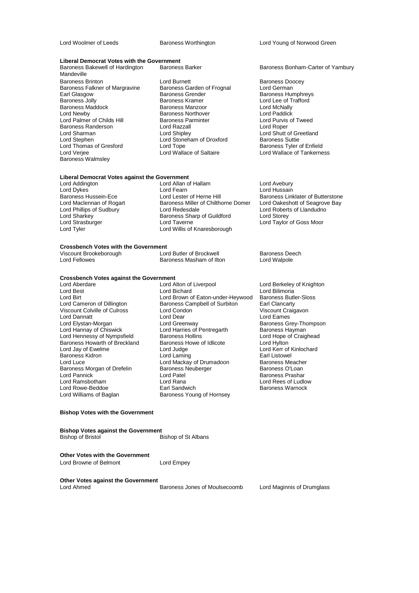Lord Woolmer of Leeds Baroness Worthington Lord Young of Norwood Green

### **Liberal Democrat Votes with the Government**

Mandeville<br>Baroness Brinton Baroness Falkner of Margravine Baroness Garden of Francisco Baroness Germanness Grender Earl Glasgow **Baroness Grender** Baroness Humphreys<br>
Baroness Jolly **Baroness Humphreys**<br>
Baroness Aramer **Baroness Kramer** Lord Lee of Trafford Baroness Jolly Baroness Kramer Lord Lee of Trafford Baroness Maddock **Baroness Manzoor** Baroness Manzoor Lord McNally<br>Cord Newby **Baroness Northover** Cord Paddick Lord Palmer of Childs Hill Baroness Parminter and Lord Purvis Cord Purvis Cord Purvis Cord Purvis Cord Purvis<br>Baroness Randerson Cord Razzall Lord Roper Baroness Randerson **Lord Razzall**<br>
Lord Sharman **Lord Shipley** Lord Sharman Lord Shipley Lord Shipley Lord Shutt of Greetland Lord Sharman Lord Shipley Lord Shutt of Greetland Lord Stephen Lord Stoneham of Droxford Baroness Suttie Lord Thomas of Gresford Lord Tope<br>
Lord Veriee Cord Wallace of Saltaire Baroness Walmsley

Baroness Brinton Lord Burnett Baroness Doocey Lord Newby Baroness Northover Lord Paddick Lord Stoneham of Droxford<br>
Lord Tope<br>
Baroness Tyler of Enfield

# **Liberal Democrat Votes against the Government**

#### Lord Addington Lord Allan of Hallam Lord Avebury Lord Dykes Lord Cord Fearn Lord Fearn Lord Hussain<br>Baroness Hussein-Ece Lord Lester of Herne Hill Baroness Link Baroness Hussein-Ece Lord Lester of Herne Hill Baroness Linklater of Butterstone<br>
Lord Maclennan of Rogart Baroness Miller of Chilthorne Domer Lord Oakeshott of Seagrove Bay Lord Maclennan of Rogart Baroness Miller of Chilthorne Domer<br>
Lord Phillips of Sudbury<br>
Lord Redesdale Lord Phillips of Sudbury Lord Redesdale Lord Roberts of Llandudno Lord Sharkey **Baroness Sharp of Guildford**<br>
Lord Strasburger<br>
Lord Taverne Lord Strasburger Lord Taverne Lord Taylor of Goss Moor Lord Willis of Knaresborough

### **Crossbench Votes with the Government**

| Viscount Brookeborough | Lord Butler of Brockwell | <b>Baroness Deech</b> |
|------------------------|--------------------------|-----------------------|
| Lord Fellowes          | Baroness Masham of Ilton | Lord Walpole          |

# **Crossbench Votes against the Government**

Lord Dannatt<br>
Lord Elystan-Morgan<br>
Lord Greenway Baroness Howarth of Breckland Baroness H<br>Lord Jay of Ewelme **Lord Lord Judge** Baroness Morgan of Drefelin Baroness I<br>Lord Pannick Baroness I Lord Rowe-Beddoe<br>Lord Williams of Baglan

Lord Aberdare **Lord Alton of Liverpool** Lord Berkeley of Knighton<br>
Lord Best **Lord Berkeley Cord Billimoria**<br>
Lord Billimoria Lord Best Lord Bichard Lord Bilimoria<br>
Lord Birt Lord Brown of Eaton-under-Heywood Baroness Butler-Sloss Lord Birt **Lord Brown of Eaton-under-Heywood** Baroness Butl<br>
Lord Cameron of Dillington **Baroness Campbell of Surbiton** Earl Clancarty Baroness Campbell of Surbiton Earl Clancarty<br>
Lord Condon Craigavon Viscount Colville of Culross Lord Condon Number 2016 Viscount Craigavon Viscount Craigavon Craigavon Viscount Cr<br>Cord Condon Lord Condon Lord Condon Lord Cames Lord Greenway **Baroness Grey-Thompson**<br> **Lord Harries of Pentregarth** Baroness Hayman Lord Hannay of Chiswick **Lord Harries of Pentregarth** Baroness Hayman<br>
Lord Hennessy of Nympsfield Baroness Hollins **Baroness Hayman**Baroness Hollins
Baroness Hayman
Baroness
Lord Hope of Craighead Lord Hennessy of Nympsfield Baroness Hollins Care and Hope c<br>Baroness Howarth of Breckland Baroness Howe of Idlicote Lord Hylton Lord Judge Lord Kerr of Kinlochard<br>
Lord Laming Lord Earl Listowel Baroness Kidron **Earl Listowel**<br>
Lord Laming Cord Mackay of Drumadoon Baroness Meacher<br>
Lord Mackay of Drumadoon Baroness Meacher Lord Mackay of Drumadoon Baroness Meacher<br>Baroness Neuberger Baroness O'Loan Lord Pannick Lord Patel Cord Patel Cord Patel Baroness Prashar<br>
Lord Ramsbotham Lord Rana Lord Rana Lord Rees of Ludl Lord Rana **Lord Rees of Ludlow**<br> **Lord Rana Lord Rana Lord Rana Lord Rana Lord Rana Lord Rana Lord Rana Lord Rana Lord Rana Lord Rana Lord Ran**<br>
Baroness Warnock Baroness Young of Hornsey

### **Bishop Votes with the Government**

# **Bishop Votes against the Government**

Bishop of St Albans

### **Other Votes with the Government** Lord Browne of Belmont Lord Empey

**Other Votes against the Government**<br>Lord Ahmed

Baroness Jones of Moulsecoomb Lord Maginnis of Drumglass

Baroness Bonham-Carter of Yarnbury

Lord Wallace of Tankerness